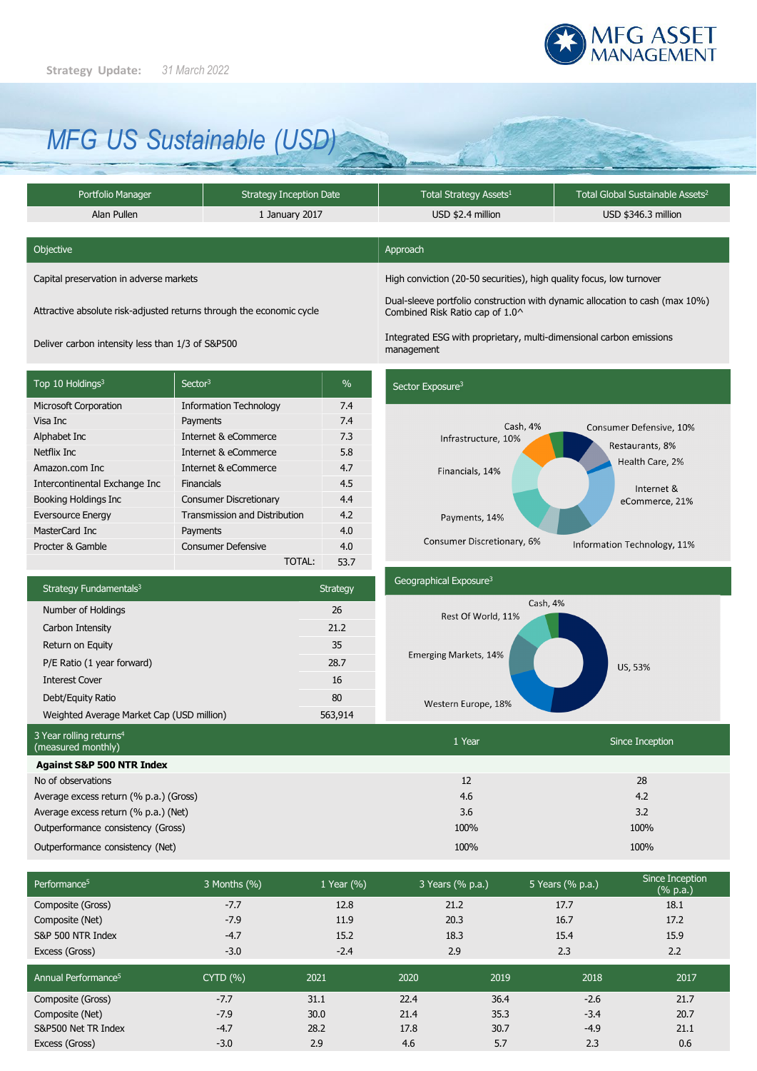

# *MFG US Sustainable (USD)*

| Portfolio Manager | <b>Strategy Inception Date</b> | Total Strategy Assets <sup>1</sup> | Total Global Sustainable Assets <sup>2</sup> |  |
|-------------------|--------------------------------|------------------------------------|----------------------------------------------|--|
| Alan Pullen       | 1 January 2017                 | USD \$2.4 million                  | USD \$346.3 million                          |  |

| Objective                               | Approach                                                             |  |
|-----------------------------------------|----------------------------------------------------------------------|--|
| Capital preservation in adverse markets | High conviction (20-50 securities), high quality focus, low turnover |  |

Attractive absolute risk-adjusted returns through the economic cycle

Deliver carbon intensity less than 1/3 of S&P500

Top 10 Holdings<sup>3</sup> Sector<sup>3</sup> Microsoft Corporation **Information Technology** Visa Inc Payments Alphabet Inc **Internet & eCommerce** Netflix Inc **Internet & eCommerce** Amazon.com Inc Internet & eCommerce Intercontinental Exchange Inc Financials Booking Holdings Inc Consumer Discretionary Eversource Energy Transmission and Distribution MasterCard Inc Payments Procter & Gamble Consumer Defensive TOTAL:  $\frac{1}{2}$ 7.4 7.4 7.3 5.8 4.7 4.5 4.4 4.2 4.0 4.0 53.7

### Sector Exposure<sup>3</sup>

management

Combined Risk Ratio cap of 1.0^



Dual-sleeve portfolio construction with dynamic allocation to cash (max 10%)

Integrated ESG with proprietary, multi-dimensional carbon emissions

| Strategy Fundamentals <sup>3</sup>        | <b>Strategy</b> |  |
|-------------------------------------------|-----------------|--|
| Number of Holdings                        | 26              |  |
| Carbon Intensity                          | 21.2            |  |
| Return on Equity                          | 35              |  |
| P/E Ratio (1 year forward)                | 28.7            |  |
| <b>Interest Cover</b>                     | 16              |  |
| Debt/Equity Ratio                         | 80              |  |
| Weighted Average Market Cap (USD million) | 563,914         |  |

# Geographical Exposure<sup>3</sup> Cash, 4% Rest Of World, 11% Emerging Markets, 14% US, 53%

Western Europe, 18%

| 3 Year rolling returns <sup>4</sup><br>(measured monthly) | 1 Year | Since Inception |
|-----------------------------------------------------------|--------|-----------------|
| <b>Against S&amp;P 500 NTR Index</b>                      |        |                 |
| No of observations                                        | 12     | 28              |
| Average excess return (% p.a.) (Gross)                    | 4.6    | 4.2             |
| Average excess return (% p.a.) (Net)                      | 3.6    | 3.2             |
| Outperformance consistency (Gross)                        | 100%   | 100%            |
| Outperformance consistency (Net)                          | 100%   | 100%            |
|                                                           |        |                 |

| Performance <sup>5</sup>        | 3 Months (%)    | 1 Year (%) | 3 Years (% p.a.) | 5 Years (% p.a.) | Since Inception<br>$(% \mathbb{R}^2)$ (% p.a.) |
|---------------------------------|-----------------|------------|------------------|------------------|------------------------------------------------|
| Composite (Gross)               | $-7.7$          | 12.8       | 21.2             | 17.7             | 18.1                                           |
| Composite (Net)                 | $-7.9$          | 11.9       | 20.3             | 16.7             | 17.2                                           |
| S&P 500 NTR Index               | $-4.7$          | 15.2       | 18.3             | 15.4             | 15.9                                           |
| Excess (Gross)                  | $-3.0$          | $-2.4$     | 2.9              | 2.3              | 2.2                                            |
| Annual Performance <sup>5</sup> | <b>CYTD (%)</b> | 2021       | 2020             | 2018<br>2019     | 2017                                           |
| Composite (Gross)               | $-7.7$          | 31.1       | 22.4             | 36.4<br>$-2.6$   | 21.7                                           |
| Composite (Net)                 | $-7.9$          | 30.0       | 21.4             | 35.3<br>$-3.4$   | 20.7                                           |
| S&P500 Net TR Index             | $-4.7$          | 28.2       | 17.8             | 30.7<br>$-4.9$   | 21.1                                           |
| Excess (Gross)                  | $-3.0$          | 2.9        | 4.6              | 5.7<br>2.3       | 0.6                                            |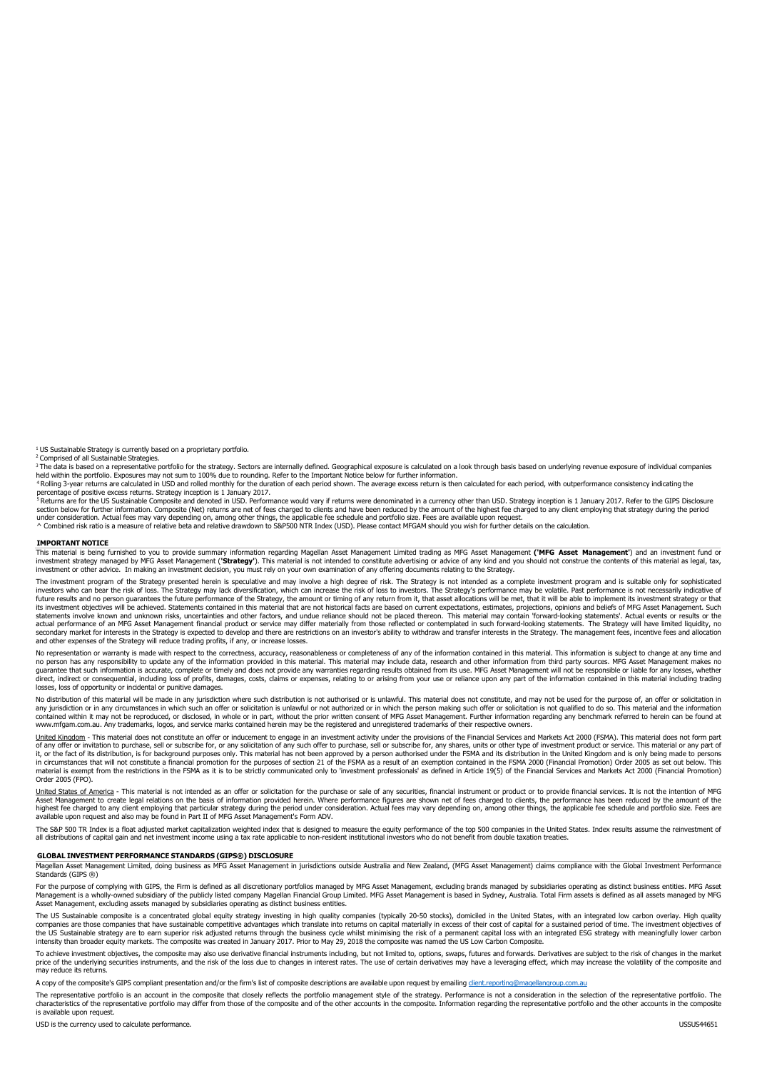<sup>1</sup> US Sustainable Strategy is currently based on a proprietary portfolio.

<sup>2</sup> Comprised of all Sustainable Strategies.

<sup>3</sup> The data is based on a representative portfolio for the strategy. Sectors are internally defined. Geographical exposure is calculated on a look through basis based on underlying revenue exposure of individual companies

<sup>4</sup> Rolling 3-year returns are calculated in USD and rolled monthly for the duration of each period shown. The average excess return is then calculated for each period, with outperformance consistency indicating the

percentage or positive excess returns. Strategy inception is 1 January 2017.<br><sup>5</sup> Returns are for the US Sustainable Composite and denoted in USD. Performance would vary if returns were denominated in a currency other than section below for further information. Composite (Net) returns are net of fees charged to clients and have been reduced by the amount of the highest fee charged to any client employing that strategy during the period<br>under

^ Combined risk ratio is a measure of relative beta and relative drawdown to S&P500 NTR Index (USD). Please contact MFGAM should you wish for further details on the calculation.

#### **IMPORTANT NOTICE**

This material is being furnished to you to provide summary information regarding Magellan Asset Management (imed trading as MFG Asset Management ('**MFG Asset Management**') and an investment fund or<br>investment strategy mana investment or other advice. In making an investment decision, you must rely on your own examination of any offering documents relating to the Strategy.

The investment program of the Strategy presented herein is speculative and may involve a high degree of risk. The Strategy is not intended as a complete investment program and is suitable only for sophisticated investors who can bear the risk of loss. The Strategy may lack diversification, which can increase the risk of loss to investors. The Strategy's performance may be volatile. Past performance is not necessarily indicative o actual performance of an MFG Asset Management financial product or service may differ materially from those reflected or contemplated in such forward-looking statements. The Strategy will have limited liquidity, no<br>seconda and other expenses of the Strategy will reduce trading profits, if any, or increase losses.

No representation or warranty is made with respect to the correctness, accuracy, reasonableness or completeness of any of the information contained in this material. This information is subject to change at any time and no person has any responsibility to update any of the information provided in this material. This material may include data, research and other information from third party sources. MFG Asset Management makes no guarantee that such information is accurate, complete or timely and does not provide any warranties regarding results obtained from its use. MFG Asset Management will not be responsible or liable for any losses, whether<br>di losses, loss of opportunity or incidental or punitive damages.

No distribution of this material will be made in any jurisdiction where such distribution is not authorised or is unlawful. This material does not constitute, and may not be used for the purpose of, an offer or solicitatio any jurisdiction or in any circumstances in which such an offer or solicitation is unlawful or not authorized or in which the person making such offer or solicitation is not qualified to do so. This material and the inform contained within it may not be reproduced, or disclosed, in whole or in part, without the prior written consent of MFG Asset Management. Further information regarding any benchmark referred to herein can be found at<br>www.mf

<u>United Kingdom</u> - This material does not constitute an offer or inducement to engage in an investment activity under the provisions of the Financial Services and Markets Act 2000 (FSMA). This material does not form part<br>o material is exempt from the restrictions in the FSMA as it is to be strictly communicated only to 'investment professionals' as defined in Article 19(5) of the Financial Services and Markets Act 2000 (Financial Promotion) Order 2005 (FPO).

<u>United States of America</u> - This material is not intended as an offer or solicitation for the purchase or sale of any securities, financial instrument or product or to provide financial services. It is not the intention o available upon request and also may be found in Part II of MFG Asset Management's Form ADV.

The S&P 500 TR Index is a float adjusted market capitalization weighted index that is designed to measure the equity performance of the top 500 companies in the United States. Index results assume the reinvestment of all distributions of capital gain and net investment income using a tax rate applicable to non-resident institutional investors who do not benefit from double taxation treaties.

#### **GLOBAL INVESTMENT PERFORMANCE STANDARDS (GIPS®) DISCLOSURE**

Magellan Asset Management Limited, doing business as MFG Asset Management in jurisdictions outside Australia and New Zealand, (MFG Asset Management) claims compliance with the Global Investment Performance Standards (GIPS ®)

For the purpose of complying with GIPS, the Firm is defined as all discretionary portfolios managed by MFG Asset Management, excluding brands managed by subsidiaries operating as distinct business entities. MFG Asset<br>Manag

The US Sustainable composite is a concentrated global equity strategy investing in high quality companies (typically 20-50 stocks), domiciled in the United States, with an integrated low carbon overlay. High quality<br>compan the US Sustainable strategy are to earn superior risk adjusted returns through the business cycle whilst minimising the risk of a permanent capital loss with an integrated ESG strategy with meaningfully lower carbon intensity than broader equity markets. The composite was created in January 2017. Prior to May 29, 2018 the composite was named the US Low Carbon Composite.

To achieve investment objectives, the composite may also use derivative financial instruments including, but not limited to, options, swaps, futures and forwards. Derivatives are subject to the risk of changes in the marke

A copy of the composite's GIPS compliant presentation and/or the firm's list of composite descriptions are available upon request by emailing [client.reporting@magellangroup.com.au](mailto:client.reporting@magellangroup.com.au)

The representative portfolio is an account in the composite that closely reflects the portfolio management style of the strategy. Performance is not a consideration in the selection of the representative portfolio. The<br>cha is available upon request.